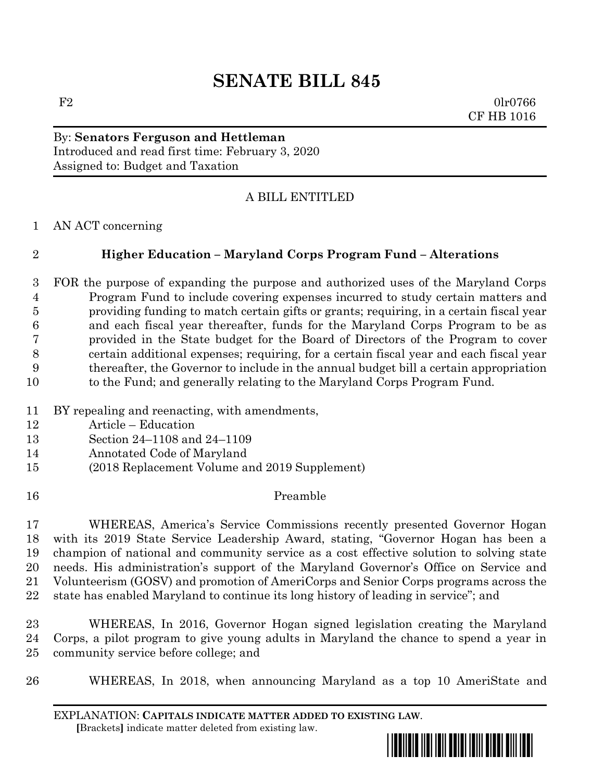# **SENATE BILL 845**

 $F2$  0lr0766 CF HB 1016

## By: **Senators Ferguson and Hettleman** Introduced and read first time: February 3, 2020 Assigned to: Budget and Taxation

## A BILL ENTITLED

AN ACT concerning

# **Higher Education – Maryland Corps Program Fund – Alterations**

 FOR the purpose of expanding the purpose and authorized uses of the Maryland Corps Program Fund to include covering expenses incurred to study certain matters and providing funding to match certain gifts or grants; requiring, in a certain fiscal year and each fiscal year thereafter, funds for the Maryland Corps Program to be as provided in the State budget for the Board of Directors of the Program to cover certain additional expenses; requiring, for a certain fiscal year and each fiscal year thereafter, the Governor to include in the annual budget bill a certain appropriation to the Fund; and generally relating to the Maryland Corps Program Fund.

- BY repealing and reenacting, with amendments,
- Article Education
- Section 24–1108 and 24–1109
- Annotated Code of Maryland
- (2018 Replacement Volume and 2019 Supplement)
- Preamble

 WHEREAS, America's Service Commissions recently presented Governor Hogan with its 2019 State Service Leadership Award, stating, "Governor Hogan has been a champion of national and community service as a cost effective solution to solving state needs. His administration's support of the Maryland Governor's Office on Service and Volunteerism (GOSV) and promotion of AmeriCorps and Senior Corps programs across the state has enabled Maryland to continue its long history of leading in service"; and

 WHEREAS, In 2016, Governor Hogan signed legislation creating the Maryland Corps, a pilot program to give young adults in Maryland the chance to spend a year in community service before college; and

WHEREAS, In 2018, when announcing Maryland as a top 10 AmeriState and

EXPLANATION: **CAPITALS INDICATE MATTER ADDED TO EXISTING LAW**.  **[**Brackets**]** indicate matter deleted from existing law.

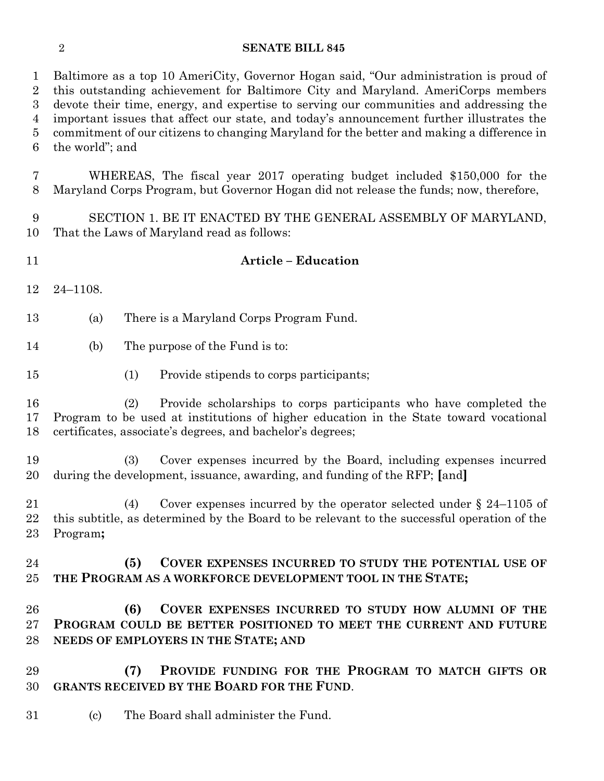#### **SENATE BILL 845**

 Baltimore as a top 10 AmeriCity, Governor Hogan said, "Our administration is proud of this outstanding achievement for Baltimore City and Maryland. AmeriCorps members devote their time, energy, and expertise to serving our communities and addressing the important issues that affect our state, and today's announcement further illustrates the commitment of our citizens to changing Maryland for the better and making a difference in the world"; and

 WHEREAS, The fiscal year 2017 operating budget included \$150,000 for the Maryland Corps Program, but Governor Hogan did not release the funds; now, therefore,

 SECTION 1. BE IT ENACTED BY THE GENERAL ASSEMBLY OF MARYLAND, That the Laws of Maryland read as follows:

- **Article – Education**  24–1108. (a) There is a Maryland Corps Program Fund. (b) The purpose of the Fund is to: (1) Provide stipends to corps participants;
	- (2) Provide scholarships to corps participants who have completed the Program to be used at institutions of higher education in the State toward vocational certificates, associate's degrees, and bachelor's degrees;
	- (3) Cover expenses incurred by the Board, including expenses incurred during the development, issuance, awarding, and funding of the RFP; **[**and**]**
	- (4) Cover expenses incurred by the operator selected under § 24–1105 of this subtitle, as determined by the Board to be relevant to the successful operation of the Program**;**
	- **(5) COVER EXPENSES INCURRED TO STUDY THE POTENTIAL USE OF THE PROGRAM AS A WORKFORCE DEVELOPMENT TOOL IN THE STATE;**
	- **(6) COVER EXPENSES INCURRED TO STUDY HOW ALUMNI OF THE PROGRAM COULD BE BETTER POSITIONED TO MEET THE CURRENT AND FUTURE NEEDS OF EMPLOYERS IN THE STATE; AND**
	- **(7) PROVIDE FUNDING FOR THE PROGRAM TO MATCH GIFTS OR GRANTS RECEIVED BY THE BOARD FOR THE FUND**.
- (c) The Board shall administer the Fund.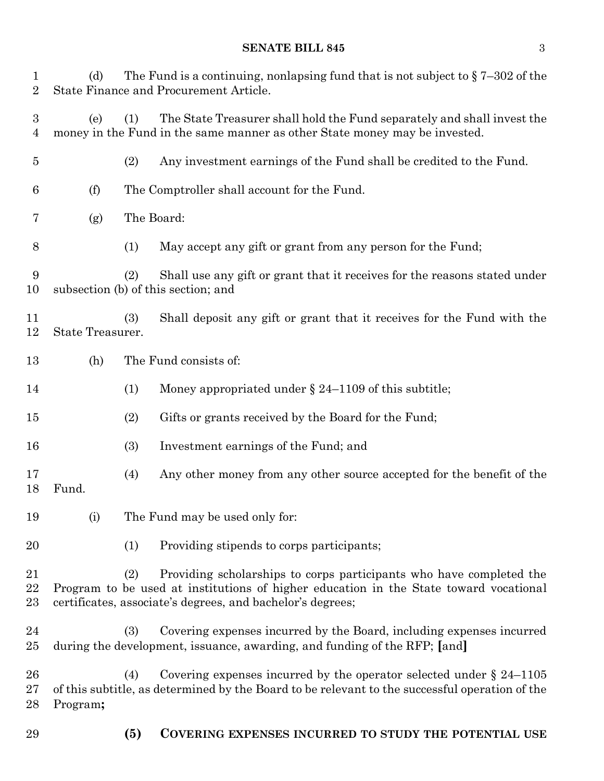### **SENATE BILL 845** 3

| $\mathbf 1$<br>$\overline{2}$ | (d)                                                                                                                     | The Fund is a continuing, nonlapsing fund that is not subject to $\S 7-302$ of the<br>State Finance and Procurement Article. |                                                                                                                                                                                                                            |  |
|-------------------------------|-------------------------------------------------------------------------------------------------------------------------|------------------------------------------------------------------------------------------------------------------------------|----------------------------------------------------------------------------------------------------------------------------------------------------------------------------------------------------------------------------|--|
| $\boldsymbol{3}$<br>4         | (e)                                                                                                                     | (1)                                                                                                                          | The State Treasurer shall hold the Fund separately and shall invest the<br>money in the Fund in the same manner as other State money may be invested.                                                                      |  |
| $\overline{5}$                |                                                                                                                         | (2)                                                                                                                          | Any investment earnings of the Fund shall be credited to the Fund.                                                                                                                                                         |  |
| 6                             | (f)                                                                                                                     |                                                                                                                              | The Comptroller shall account for the Fund.                                                                                                                                                                                |  |
| 7                             | (g)                                                                                                                     | The Board:                                                                                                                   |                                                                                                                                                                                                                            |  |
| 8                             |                                                                                                                         | (1)                                                                                                                          | May accept any gift or grant from any person for the Fund;                                                                                                                                                                 |  |
| 9<br>10                       | Shall use any gift or grant that it receives for the reasons stated under<br>(2)<br>subsection (b) of this section; and |                                                                                                                              |                                                                                                                                                                                                                            |  |
| 11<br>12                      | State Treasurer.                                                                                                        | (3)                                                                                                                          | Shall deposit any gift or grant that it receives for the Fund with the                                                                                                                                                     |  |
| 13                            | (h)                                                                                                                     |                                                                                                                              | The Fund consists of:                                                                                                                                                                                                      |  |
| 14                            |                                                                                                                         | (1)                                                                                                                          | Money appropriated under $\S$ 24–1109 of this subtitle;                                                                                                                                                                    |  |
| 15                            |                                                                                                                         | (2)                                                                                                                          | Gifts or grants received by the Board for the Fund;                                                                                                                                                                        |  |
| 16                            |                                                                                                                         | (3)                                                                                                                          | Investment earnings of the Fund; and                                                                                                                                                                                       |  |
| 17<br>18                      | Fund.                                                                                                                   | (4)                                                                                                                          | Any other money from any other source accepted for the benefit of the                                                                                                                                                      |  |
| 19                            | (i)                                                                                                                     |                                                                                                                              | The Fund may be used only for:                                                                                                                                                                                             |  |
| 20                            |                                                                                                                         | (1)                                                                                                                          | Providing stipends to corps participants;                                                                                                                                                                                  |  |
| 21<br>22<br>23                |                                                                                                                         | (2)                                                                                                                          | Providing scholarships to corps participants who have completed the<br>Program to be used at institutions of higher education in the State toward vocational<br>certificates, associate's degrees, and bachelor's degrees; |  |
| 24<br>25                      |                                                                                                                         | (3)                                                                                                                          | Covering expenses incurred by the Board, including expenses incurred<br>during the development, issuance, awarding, and funding of the RFP; [and]                                                                          |  |
| 26<br>27<br>28                | Program;                                                                                                                | (4)                                                                                                                          | Covering expenses incurred by the operator selected under $\S$ 24–1105<br>of this subtitle, as determined by the Board to be relevant to the successful operation of the                                                   |  |
| 29                            |                                                                                                                         | <b>(5)</b>                                                                                                                   | COVERING EXPENSES INCURRED TO STUDY THE POTENTIAL USE                                                                                                                                                                      |  |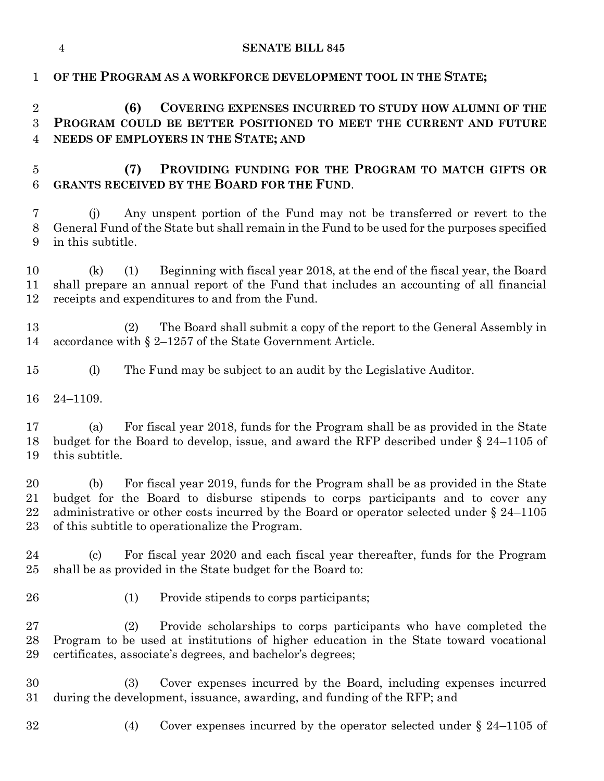|                                       | $\overline{4}$           | <b>SENATE BILL 845</b>                                                                                                                                                                                                                                                                                                  |
|---------------------------------------|--------------------------|-------------------------------------------------------------------------------------------------------------------------------------------------------------------------------------------------------------------------------------------------------------------------------------------------------------------------|
| $\mathbf 1$                           |                          | OF THE PROGRAM AS A WORKFORCE DEVELOPMENT TOOL IN THE STATE;                                                                                                                                                                                                                                                            |
| $\overline{2}$<br>3<br>$\overline{4}$ | (6)                      | COVERING EXPENSES INCURRED TO STUDY HOW ALUMNI OF THE<br>PROGRAM COULD BE BETTER POSITIONED TO MEET THE CURRENT AND FUTURE<br>NEEDS OF EMPLOYERS IN THE STATE; AND                                                                                                                                                      |
| $\overline{5}$<br>6                   | (7)                      | PROVIDING FUNDING FOR THE PROGRAM TO MATCH GIFTS OR<br><b>GRANTS RECEIVED BY THE BOARD FOR THE FUND.</b>                                                                                                                                                                                                                |
| 7<br>8<br>9                           | (i)<br>in this subtitle. | Any unspent portion of the Fund may not be transferred or revert to the<br>General Fund of the State but shall remain in the Fund to be used for the purposes specified                                                                                                                                                 |
| 10<br>11<br>12                        | (k)<br>(1)               | Beginning with fiscal year 2018, at the end of the fiscal year, the Board<br>shall prepare an annual report of the Fund that includes an accounting of all financial<br>receipts and expenditures to and from the Fund.                                                                                                 |
| 13<br>14                              | (2)                      | The Board shall submit a copy of the report to the General Assembly in<br>accordance with $\S 2$ –1257 of the State Government Article.                                                                                                                                                                                 |
| 15                                    | (l)                      | The Fund may be subject to an audit by the Legislative Auditor.                                                                                                                                                                                                                                                         |
| 16                                    | $24 - 1109.$             |                                                                                                                                                                                                                                                                                                                         |
| 17<br>18<br>19                        | (a)<br>this subtitle.    | For fiscal year 2018, funds for the Program shall be as provided in the State<br>budget for the Board to develop, issue, and award the RFP described under $\S 24-1105$ of                                                                                                                                              |
| 20<br>21<br>22<br>23                  |                          | (b) For fiscal year 2019, funds for the Program shall be as provided in the State<br>budget for the Board to disburse stipends to corps participants and to cover any<br>administrative or other costs incurred by the Board or operator selected under $\S 24-1105$<br>of this subtitle to operationalize the Program. |
| 24<br>25                              | (c)                      | For fiscal year 2020 and each fiscal year thereafter, funds for the Program<br>shall be as provided in the State budget for the Board to:                                                                                                                                                                               |
| 26                                    | (1)                      | Provide stipends to corps participants;                                                                                                                                                                                                                                                                                 |
| $\sqrt{27}$<br>28<br>29               | (2)                      | Provide scholarships to corps participants who have completed the<br>Program to be used at institutions of higher education in the State toward vocational<br>certificates, associate's degrees, and bachelor's degrees;                                                                                                |
| 30<br>31                              | (3)                      | Cover expenses incurred by the Board, including expenses incurred<br>during the development, issuance, awarding, and funding of the RFP; and                                                                                                                                                                            |
| 32                                    | (4)                      | Cover expenses incurred by the operator selected under $\S$ 24–1105 of                                                                                                                                                                                                                                                  |